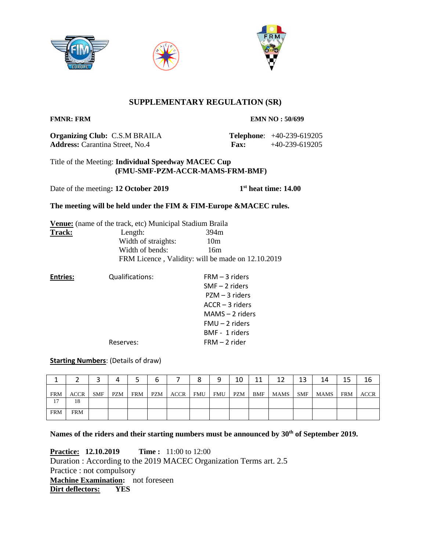





# **SUPPLEMENTARY REGULATION (SR)**

**FMNR: FRM EMN NO : 50/699** 

**Organizing Club:** C.S.M BRAILA **Telephone**: +40-239-619205 **Address:** Carantina Street, No.4 **Fax:** +40-239-619205

# Title of the Meeting: **Individual Speedway MACEC Cup (FMU-SMF-PZM-ACCR-MAMS-FRM-BMF)**

Date of the meeting: 12 October 2019

**st heat time: 14.00**

# **The meeting will be held under the FIM & FIM-Europe &MACEC rules.**

|        | <b>Venue:</b> (name of the track, etc) Municipal Stadium Braila |                                                   |
|--------|-----------------------------------------------------------------|---------------------------------------------------|
| Track: | Length:                                                         | 394m                                              |
|        | Width of straights:                                             | 10 <sub>m</sub>                                   |
|        | Width of bends:                                                 | 16m                                               |
|        |                                                                 | FRM Licence, Validity: will be made on 12.10.2019 |

**Entries:** Qualifications: FRM – 3 riders SMF – 2 riders PZM – 3 riders ACCR – 3 riders MAMS – 2 riders FMU – 2 riders BMF - 1 riders Reserves: FRM – 2 rider

# **Starting Numbers**: (Details of draw)

|            |             |            |            |            | ь          |      | 8   | q          | 10  | 11         | 12   | 13  | 14   | 15         | 16          |
|------------|-------------|------------|------------|------------|------------|------|-----|------------|-----|------------|------|-----|------|------------|-------------|
| <b>FRM</b> | <b>ACCR</b> | <b>SMF</b> | <b>PZM</b> | <b>FRM</b> | <b>PZM</b> | ACCR | FMU | <b>FMU</b> | PZM | <b>BMF</b> | MAMS | SMF | MAMS | <b>FRM</b> | <b>ACCR</b> |
| 17         | 18          |            |            |            |            |      |     |            |     |            |      |     |      |            |             |
| <b>FRM</b> | <b>FRM</b>  |            |            |            |            |      |     |            |     |            |      |     |      |            |             |

**Names of the riders and their starting numbers must be announced by 30th of September 2019.**

**Practice:** 12.10.2019 Time: 11:00 to 12:00 Duration : According to the 2019 MACEC Organization Terms art. 2.5 Practice : not compulsory **Machine Examination:** not foreseen **Dirt deflectors: YES**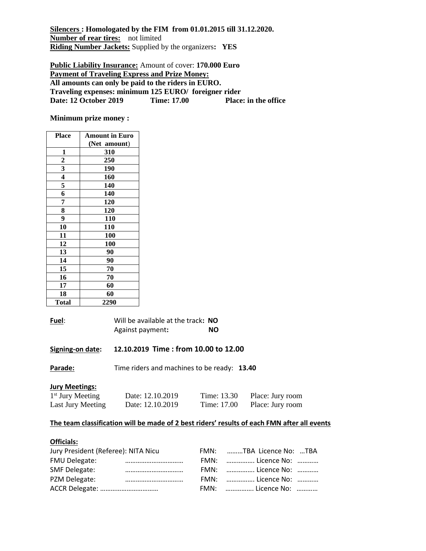**Silencers : Homologated by the FIM from 01.01.2015 till 31.12.2020. Number of rear tires:** not limited **Riding Number Jackets:** Supplied by the organizers**: YES**

**Public Liability Insurance:** Amount of cover: **170.000 Euro Payment of Traveling Express and Prize Money: All amounts can only be paid to the riders in EURO. Traveling expenses: minimum 125 EURO/ foreigner rider Date: 12 October 2019** 

**Minimum prize money :**

| <b>Place</b>   | <b>Amount in Euro</b> |  |  |  |
|----------------|-----------------------|--|--|--|
|                | (Net amount)          |  |  |  |
| 1              | 310                   |  |  |  |
| $\overline{c}$ | 250                   |  |  |  |
| 3              | 190                   |  |  |  |
| 4              | 160                   |  |  |  |
| 5              | 140                   |  |  |  |
| 6              | 140                   |  |  |  |
| 7              | 120                   |  |  |  |
| 8              | 120                   |  |  |  |
| 9              | 110                   |  |  |  |
| 10             | 110                   |  |  |  |
| 11             | 100                   |  |  |  |
| 12             | 100                   |  |  |  |
| 13             | 90                    |  |  |  |
| 14             | 90                    |  |  |  |
| 15             | 70                    |  |  |  |
| 16             | 70                    |  |  |  |
| 17             | 60                    |  |  |  |
| 18             | 60                    |  |  |  |
| <b>Total</b>   | 2290                  |  |  |  |

**Fuel**: Will be available at the track**: NO** Against payment**: NO**

**Signing-on date: 12.10.2019 Time : from 10.00 to 12.00** 

Parade: Time riders and machines to be ready: 13.40

### **Jury Meetings:**

| $1st$ Jury Meeting | Date: 12.10.2019 | Time: 13.30 | Place: Jury room |
|--------------------|------------------|-------------|------------------|
| Last Jury Meeting  | Date: 12.10.2019 | Time: 17.00 | Place: Jury room |

## **The team classification will be made of 2 best riders' results of each FMN after all events**

#### **Officials:**

| Jury President (Referee): NITA Nicu |  |  | FMN: TBA Licence No: TBA |  |
|-------------------------------------|--|--|--------------------------|--|
| <b>FMU Delegate:</b>                |  |  | FMN:  Licence No:        |  |
| <b>SMF Delegate:</b>                |  |  | FMN:  Licence No:        |  |
| PZM Delegate:                       |  |  | FMN:  Licence No:        |  |
|                                     |  |  | FMN:  Licence No:        |  |